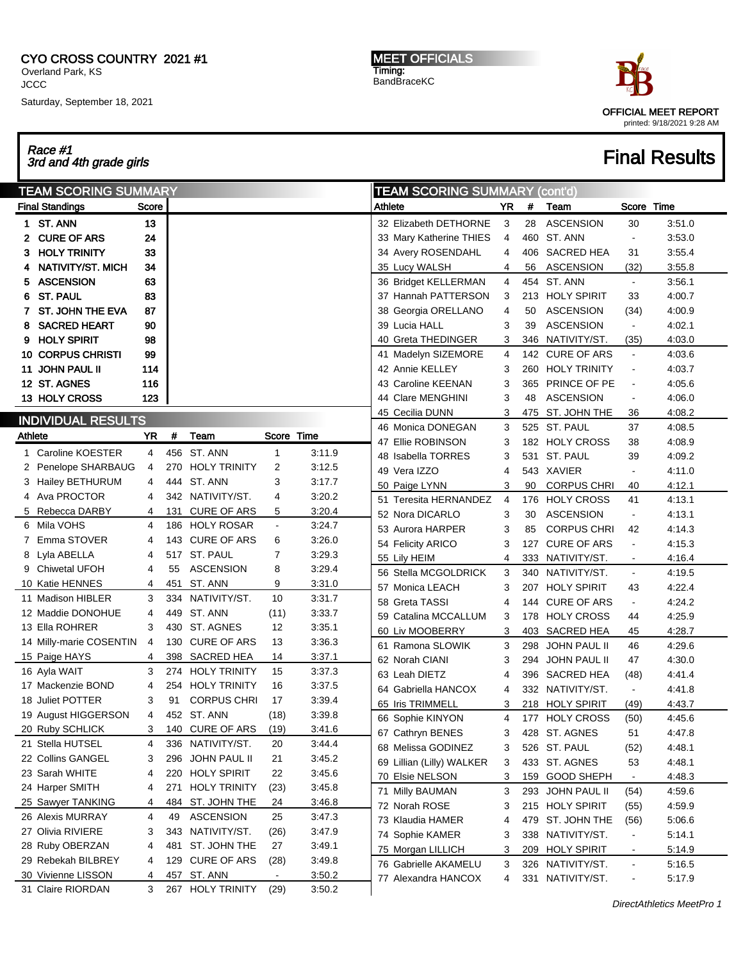## CYO CROSS COUNTRY 2021 #1

Overland Park, KS **JCCC** Saturday, September 18, 2021 MEET OFFICIALS Timing: BandBraceKC



# Race #1 3rd and 4th grade girls Final Results

| Score<br>Athlete<br>YR<br><b>Final Standings</b><br>#<br>13<br>1 ST. ANN<br>32 Elizabeth DETHORNE<br>28<br>3<br><b>CURE OF ARS</b><br>24<br>33 Mary Katherine THIES<br>4<br>33<br>3 HOLY TRINITY<br>34 Avery ROSENDAHL<br>4<br>34<br>NATIVITY/ST. MICH<br>35 Lucy WALSH<br>4<br>56<br>63<br><b>ASCENSION</b><br>36 Bridget KELLERMAN<br>4<br>5.<br><b>ST. PAUL</b><br>83<br>37 Hannah PATTERSON<br>3<br>6.<br>87<br><b>ST. JOHN THE EVA</b><br>38 Georgia ORELLANO<br>4<br>50<br>90<br><b>SACRED HEART</b><br>39 Lucia HALL<br>3<br>39<br>8<br><b>HOLY SPIRIT</b><br>98<br>40 Greta THEDINGER<br>3<br>346<br>9.<br><b>10 CORPUS CHRISTI</b><br>99<br>41 Madelyn SIZEMORE<br>4<br>11 JOHN PAUL II<br>114<br>42 Annie KELLEY<br>3<br>12 ST. AGNES<br>116<br>43 Caroline KEENAN<br>3<br>365<br>123<br>13 HOLY CROSS<br>44 Clare MENGHINI<br>3<br>48<br>45 Cecilia DUNN<br>3<br><b>INDIVIDUAL RESULTS</b><br>3<br>46 Monica DONEGAN<br>Team<br>Score Time<br>Athlete<br>YR<br>#<br>47 Ellie ROBINSON<br>3<br>1 Caroline KOESTER<br>456 ST. ANN<br>3:11.9<br>4<br>1<br>48 Isabella TORRES<br>3<br>531<br>2<br>3:12.5<br>2 Penelope SHARBAUG<br>4<br>270 HOLY TRINITY<br>49 Vera IZZO<br>4<br>444 ST. ANN<br>3<br>3 Hailey BETHURUM<br>4<br>3:17.7<br>3<br>90<br>50 Paige LYNN<br>4 Ava PROCTOR<br>342 NATIVITY/ST.<br>3:20.2<br>4<br>4<br>51 Teresita HERNANDEZ<br>4<br>3:20.4<br>5 Rebecca DARBY<br>131<br><b>CURE OF ARS</b><br>5<br>4<br>52 Nora DICARLO<br>3<br>30<br>6 Mila VOHS<br>186 HOLY ROSAR<br>3:24.7<br>4<br>3<br>53 Aurora HARPER<br>85<br>7 Emma STOVER<br>143 CURE OF ARS<br>6<br>3:26.0<br>4<br>54 Felicity ARICO<br>3<br>127<br>517 ST. PAUL<br>$\overline{7}$<br>3:29.3<br>8 Lyla ABELLA<br>4<br>55 Lily HEIM<br>4<br><b>ASCENSION</b><br>3:29.4<br>9 Chiwetal UFOH<br>4<br>55<br>8<br>56 Stella MCGOLDRICK<br>3<br>340<br>451<br>ST. ANN<br>3:31.0<br>10 Katie HENNES<br>9<br>4<br>3<br>57 Monica LEACH<br>207<br>10<br>3<br>334 NATIVITY/ST.<br>3:31.7<br>11 Madison HIBLER<br>58 Greta TASSI<br>4<br>449 ST. ANN<br>3:33.7<br>12 Maddie DONOHUE<br>4<br>(11)<br>59 Catalina MCCALLUM<br>3<br>3<br>430 ST. AGNES<br>12<br>3:35.1<br>13 Ella ROHRER<br>3<br>60 Liv MOOBERRY<br>403<br>130 CURE OF ARS<br>13<br>3:36.3<br>14 Milly-marie COSENTIN<br>4<br>61 Ramona SLOWIK<br>3<br>298<br>398 SACRED HEA<br>3:37.1<br>15 Paige HAYS<br>14<br>4<br>62 Norah CIANI<br>3<br>294<br>3<br>274 HOLY TRINITY<br>15<br>3:37.3<br>16 Ayla WAIT<br>63 Leah DIETZ<br>4<br>17 Mackenzie BOND<br>4<br>254 HOLY TRINITY<br>16<br>3:37.5<br>64 Gabriella HANCOX<br>4<br><b>CORPUS CHRI</b><br>3:39.4<br>18 Juliet POTTER<br>3<br>91<br>17<br>65 Iris TRIMMELL<br>3<br>452 ST. ANN<br>(18)<br>3:39.8<br>4<br>19 August HIGGERSON<br>66 Sophie KINYON<br>4<br>20 Ruby SCHLICK<br>140 CURE OF ARS<br>3:41.6<br>3<br>(19)<br>67 Cathryn BENES<br>3<br>3:44.4<br>21 Stella HUTSEL<br>4<br>336 NATIVITY/ST.<br>20<br>68 Melissa GODINEZ<br>3<br>296 JOHN PAUL II<br>22 Collins GANGEL<br>21<br>3:45.2<br>3<br>69 Lillian (Lilly) WALKER<br>3<br>23 Sarah WHITE<br>220 HOLY SPIRIT<br>22<br>3:45.6<br>4<br>70 Elsie NELSON<br>3<br>159<br>3:45.8<br>24 Harper SMITH<br>271 HOLY TRINITY<br>4<br>(23)<br>71 Milly BAUMAN<br>3<br>484 ST. JOHN THE<br>3:46.8<br>25 Sawyer TANKING<br>24<br>4<br>72 Norah ROSE<br>3<br><b>ASCENSION</b><br>25<br>3:47.3<br>26 Alexis MURRAY<br>4<br>49<br>73 Klaudia HAMER<br>4<br>27 Olivia RIVIERE<br>343 NATIVITY/ST.<br>3:47.9<br>3<br>(26)<br>74 Sophie KAMER<br>3<br>ST. JOHN THE<br>28 Ruby OBERZAN<br>4<br>481<br>27<br>3:49.1<br>75 Morgan LILLICH<br>3<br>209<br>3:49.8<br>29 Rebekah BILBREY<br>129 CURE OF ARS<br>4<br>(28)<br>76 Gabrielle AKAMELU<br>3<br>457 ST. ANN<br>3:50.2<br>30 Vivienne LISSON<br>4<br>$\blacksquare$<br>77 Alexandra HANCOX<br>4<br>31 Claire RIORDAN<br>3 <sup>1</sup><br>267 HOLY TRINITY | <b>TEAM SCORING SUMMARY</b> |  |      |        | <b>TEAM SCORING SUMMARY (cont'd)</b> |  |                  |  |
|--------------------------------------------------------------------------------------------------------------------------------------------------------------------------------------------------------------------------------------------------------------------------------------------------------------------------------------------------------------------------------------------------------------------------------------------------------------------------------------------------------------------------------------------------------------------------------------------------------------------------------------------------------------------------------------------------------------------------------------------------------------------------------------------------------------------------------------------------------------------------------------------------------------------------------------------------------------------------------------------------------------------------------------------------------------------------------------------------------------------------------------------------------------------------------------------------------------------------------------------------------------------------------------------------------------------------------------------------------------------------------------------------------------------------------------------------------------------------------------------------------------------------------------------------------------------------------------------------------------------------------------------------------------------------------------------------------------------------------------------------------------------------------------------------------------------------------------------------------------------------------------------------------------------------------------------------------------------------------------------------------------------------------------------------------------------------------------------------------------------------------------------------------------------------------------------------------------------------------------------------------------------------------------------------------------------------------------------------------------------------------------------------------------------------------------------------------------------------------------------------------------------------------------------------------------------------------------------------------------------------------------------------------------------------------------------------------------------------------------------------------------------------------------------------------------------------------------------------------------------------------------------------------------------------------------------------------------------------------------------------------------------------------------------------------------------------------------------------------------------------------------------------------------------------------------------------------------------------------------------------------------------------------------------------------------------------------------------------------------------------------------------------------------------------------------------------------------------------------------------------------------------------------------------------------------------------------------------------------------------------------------------------------------------------------------------------------------------------------------------------------------------------------------------------------------------------------------------------------|-----------------------------|--|------|--------|--------------------------------------|--|------------------|--|
|                                                                                                                                                                                                                                                                                                                                                                                                                                                                                                                                                                                                                                                                                                                                                                                                                                                                                                                                                                                                                                                                                                                                                                                                                                                                                                                                                                                                                                                                                                                                                                                                                                                                                                                                                                                                                                                                                                                                                                                                                                                                                                                                                                                                                                                                                                                                                                                                                                                                                                                                                                                                                                                                                                                                                                                                                                                                                                                                                                                                                                                                                                                                                                                                                                                                                                                                                                                                                                                                                                                                                                                                                                                                                                                                                                                                                                                        |                             |  |      |        |                                      |  | Team             |  |
| 460 ST. ANN<br>454 ST. ANN<br>525 ST. PAUL<br>ST. PAUL<br>543 XAVIER<br>428 ST. AGNES<br>526 ST. PAUL<br>433 ST. AGNES                                                                                                                                                                                                                                                                                                                                                                                                                                                                                                                                                                                                                                                                                                                                                                                                                                                                                                                                                                                                                                                                                                                                                                                                                                                                                                                                                                                                                                                                                                                                                                                                                                                                                                                                                                                                                                                                                                                                                                                                                                                                                                                                                                                                                                                                                                                                                                                                                                                                                                                                                                                                                                                                                                                                                                                                                                                                                                                                                                                                                                                                                                                                                                                                                                                                                                                                                                                                                                                                                                                                                                                                                                                                                                                                 |                             |  |      |        |                                      |  | <b>ASCENSION</b> |  |
| 406 SACRED HEA<br><b>ASCENSION</b><br><b>ASCENSION</b><br><b>ASCENSION</b><br><b>ASCENSION</b><br><b>ASCENSION</b>                                                                                                                                                                                                                                                                                                                                                                                                                                                                                                                                                                                                                                                                                                                                                                                                                                                                                                                                                                                                                                                                                                                                                                                                                                                                                                                                                                                                                                                                                                                                                                                                                                                                                                                                                                                                                                                                                                                                                                                                                                                                                                                                                                                                                                                                                                                                                                                                                                                                                                                                                                                                                                                                                                                                                                                                                                                                                                                                                                                                                                                                                                                                                                                                                                                                                                                                                                                                                                                                                                                                                                                                                                                                                                                                     |                             |  |      |        |                                      |  |                  |  |
| 213 HOLY SPIRIT<br>NATIVITY/ST.<br>333 NATIVITY/ST.<br>NATIVITY/ST.<br><b>HOLY SPIRIT</b><br>332 NATIVITY/ST.<br>218 HOLY SPIRIT<br>215 HOLY SPIRIT<br>338 NATIVITY/ST.<br><b>HOLY SPIRIT</b>                                                                                                                                                                                                                                                                                                                                                                                                                                                                                                                                                                                                                                                                                                                                                                                                                                                                                                                                                                                                                                                                                                                                                                                                                                                                                                                                                                                                                                                                                                                                                                                                                                                                                                                                                                                                                                                                                                                                                                                                                                                                                                                                                                                                                                                                                                                                                                                                                                                                                                                                                                                                                                                                                                                                                                                                                                                                                                                                                                                                                                                                                                                                                                                                                                                                                                                                                                                                                                                                                                                                                                                                                                                          |                             |  |      |        |                                      |  |                  |  |
| <b>JOHN PAUL II</b><br>326 NATIVITY/ST.<br>331 NATIVITY/ST.                                                                                                                                                                                                                                                                                                                                                                                                                                                                                                                                                                                                                                                                                                                                                                                                                                                                                                                                                                                                                                                                                                                                                                                                                                                                                                                                                                                                                                                                                                                                                                                                                                                                                                                                                                                                                                                                                                                                                                                                                                                                                                                                                                                                                                                                                                                                                                                                                                                                                                                                                                                                                                                                                                                                                                                                                                                                                                                                                                                                                                                                                                                                                                                                                                                                                                                                                                                                                                                                                                                                                                                                                                                                                                                                                                                            |                             |  |      |        |                                      |  |                  |  |
| 182 HOLY CROSS<br>178 HOLY CROSS<br>SACRED HEA<br><b>JOHN PAUL II</b><br>396 SACRED HEA<br>177 HOLY CROSS<br>293 JOHN PAUL II                                                                                                                                                                                                                                                                                                                                                                                                                                                                                                                                                                                                                                                                                                                                                                                                                                                                                                                                                                                                                                                                                                                                                                                                                                                                                                                                                                                                                                                                                                                                                                                                                                                                                                                                                                                                                                                                                                                                                                                                                                                                                                                                                                                                                                                                                                                                                                                                                                                                                                                                                                                                                                                                                                                                                                                                                                                                                                                                                                                                                                                                                                                                                                                                                                                                                                                                                                                                                                                                                                                                                                                                                                                                                                                          |                             |  |      |        |                                      |  |                  |  |
|                                                                                                                                                                                                                                                                                                                                                                                                                                                                                                                                                                                                                                                                                                                                                                                                                                                                                                                                                                                                                                                                                                                                                                                                                                                                                                                                                                                                                                                                                                                                                                                                                                                                                                                                                                                                                                                                                                                                                                                                                                                                                                                                                                                                                                                                                                                                                                                                                                                                                                                                                                                                                                                                                                                                                                                                                                                                                                                                                                                                                                                                                                                                                                                                                                                                                                                                                                                                                                                                                                                                                                                                                                                                                                                                                                                                                                                        |                             |  |      |        |                                      |  |                  |  |
| 176 HOLY CROSS                                                                                                                                                                                                                                                                                                                                                                                                                                                                                                                                                                                                                                                                                                                                                                                                                                                                                                                                                                                                                                                                                                                                                                                                                                                                                                                                                                                                                                                                                                                                                                                                                                                                                                                                                                                                                                                                                                                                                                                                                                                                                                                                                                                                                                                                                                                                                                                                                                                                                                                                                                                                                                                                                                                                                                                                                                                                                                                                                                                                                                                                                                                                                                                                                                                                                                                                                                                                                                                                                                                                                                                                                                                                                                                                                                                                                                         |                             |  |      |        |                                      |  |                  |  |
| 142 CURE OF ARS<br>260 HOLY TRINITY<br>PRINCE OF PE<br>475 ST. JOHN THE<br><b>CORPUS CHRI</b><br><b>CORPUS CHRI</b><br><b>CURE OF ARS</b><br>144 CURE OF ARS<br><b>GOOD SHEPH</b><br>479 ST. JOHN THE                                                                                                                                                                                                                                                                                                                                                                                                                                                                                                                                                                                                                                                                                                                                                                                                                                                                                                                                                                                                                                                                                                                                                                                                                                                                                                                                                                                                                                                                                                                                                                                                                                                                                                                                                                                                                                                                                                                                                                                                                                                                                                                                                                                                                                                                                                                                                                                                                                                                                                                                                                                                                                                                                                                                                                                                                                                                                                                                                                                                                                                                                                                                                                                                                                                                                                                                                                                                                                                                                                                                                                                                                                                  |                             |  |      |        |                                      |  |                  |  |
|                                                                                                                                                                                                                                                                                                                                                                                                                                                                                                                                                                                                                                                                                                                                                                                                                                                                                                                                                                                                                                                                                                                                                                                                                                                                                                                                                                                                                                                                                                                                                                                                                                                                                                                                                                                                                                                                                                                                                                                                                                                                                                                                                                                                                                                                                                                                                                                                                                                                                                                                                                                                                                                                                                                                                                                                                                                                                                                                                                                                                                                                                                                                                                                                                                                                                                                                                                                                                                                                                                                                                                                                                                                                                                                                                                                                                                                        |                             |  |      |        |                                      |  |                  |  |
|                                                                                                                                                                                                                                                                                                                                                                                                                                                                                                                                                                                                                                                                                                                                                                                                                                                                                                                                                                                                                                                                                                                                                                                                                                                                                                                                                                                                                                                                                                                                                                                                                                                                                                                                                                                                                                                                                                                                                                                                                                                                                                                                                                                                                                                                                                                                                                                                                                                                                                                                                                                                                                                                                                                                                                                                                                                                                                                                                                                                                                                                                                                                                                                                                                                                                                                                                                                                                                                                                                                                                                                                                                                                                                                                                                                                                                                        |                             |  |      |        |                                      |  |                  |  |
|                                                                                                                                                                                                                                                                                                                                                                                                                                                                                                                                                                                                                                                                                                                                                                                                                                                                                                                                                                                                                                                                                                                                                                                                                                                                                                                                                                                                                                                                                                                                                                                                                                                                                                                                                                                                                                                                                                                                                                                                                                                                                                                                                                                                                                                                                                                                                                                                                                                                                                                                                                                                                                                                                                                                                                                                                                                                                                                                                                                                                                                                                                                                                                                                                                                                                                                                                                                                                                                                                                                                                                                                                                                                                                                                                                                                                                                        |                             |  |      |        |                                      |  |                  |  |
|                                                                                                                                                                                                                                                                                                                                                                                                                                                                                                                                                                                                                                                                                                                                                                                                                                                                                                                                                                                                                                                                                                                                                                                                                                                                                                                                                                                                                                                                                                                                                                                                                                                                                                                                                                                                                                                                                                                                                                                                                                                                                                                                                                                                                                                                                                                                                                                                                                                                                                                                                                                                                                                                                                                                                                                                                                                                                                                                                                                                                                                                                                                                                                                                                                                                                                                                                                                                                                                                                                                                                                                                                                                                                                                                                                                                                                                        |                             |  |      |        |                                      |  |                  |  |
|                                                                                                                                                                                                                                                                                                                                                                                                                                                                                                                                                                                                                                                                                                                                                                                                                                                                                                                                                                                                                                                                                                                                                                                                                                                                                                                                                                                                                                                                                                                                                                                                                                                                                                                                                                                                                                                                                                                                                                                                                                                                                                                                                                                                                                                                                                                                                                                                                                                                                                                                                                                                                                                                                                                                                                                                                                                                                                                                                                                                                                                                                                                                                                                                                                                                                                                                                                                                                                                                                                                                                                                                                                                                                                                                                                                                                                                        |                             |  |      |        |                                      |  |                  |  |
|                                                                                                                                                                                                                                                                                                                                                                                                                                                                                                                                                                                                                                                                                                                                                                                                                                                                                                                                                                                                                                                                                                                                                                                                                                                                                                                                                                                                                                                                                                                                                                                                                                                                                                                                                                                                                                                                                                                                                                                                                                                                                                                                                                                                                                                                                                                                                                                                                                                                                                                                                                                                                                                                                                                                                                                                                                                                                                                                                                                                                                                                                                                                                                                                                                                                                                                                                                                                                                                                                                                                                                                                                                                                                                                                                                                                                                                        |                             |  |      |        |                                      |  |                  |  |
|                                                                                                                                                                                                                                                                                                                                                                                                                                                                                                                                                                                                                                                                                                                                                                                                                                                                                                                                                                                                                                                                                                                                                                                                                                                                                                                                                                                                                                                                                                                                                                                                                                                                                                                                                                                                                                                                                                                                                                                                                                                                                                                                                                                                                                                                                                                                                                                                                                                                                                                                                                                                                                                                                                                                                                                                                                                                                                                                                                                                                                                                                                                                                                                                                                                                                                                                                                                                                                                                                                                                                                                                                                                                                                                                                                                                                                                        |                             |  |      |        |                                      |  |                  |  |
|                                                                                                                                                                                                                                                                                                                                                                                                                                                                                                                                                                                                                                                                                                                                                                                                                                                                                                                                                                                                                                                                                                                                                                                                                                                                                                                                                                                                                                                                                                                                                                                                                                                                                                                                                                                                                                                                                                                                                                                                                                                                                                                                                                                                                                                                                                                                                                                                                                                                                                                                                                                                                                                                                                                                                                                                                                                                                                                                                                                                                                                                                                                                                                                                                                                                                                                                                                                                                                                                                                                                                                                                                                                                                                                                                                                                                                                        |                             |  |      |        |                                      |  |                  |  |
|                                                                                                                                                                                                                                                                                                                                                                                                                                                                                                                                                                                                                                                                                                                                                                                                                                                                                                                                                                                                                                                                                                                                                                                                                                                                                                                                                                                                                                                                                                                                                                                                                                                                                                                                                                                                                                                                                                                                                                                                                                                                                                                                                                                                                                                                                                                                                                                                                                                                                                                                                                                                                                                                                                                                                                                                                                                                                                                                                                                                                                                                                                                                                                                                                                                                                                                                                                                                                                                                                                                                                                                                                                                                                                                                                                                                                                                        |                             |  |      |        |                                      |  |                  |  |
|                                                                                                                                                                                                                                                                                                                                                                                                                                                                                                                                                                                                                                                                                                                                                                                                                                                                                                                                                                                                                                                                                                                                                                                                                                                                                                                                                                                                                                                                                                                                                                                                                                                                                                                                                                                                                                                                                                                                                                                                                                                                                                                                                                                                                                                                                                                                                                                                                                                                                                                                                                                                                                                                                                                                                                                                                                                                                                                                                                                                                                                                                                                                                                                                                                                                                                                                                                                                                                                                                                                                                                                                                                                                                                                                                                                                                                                        |                             |  |      |        |                                      |  |                  |  |
|                                                                                                                                                                                                                                                                                                                                                                                                                                                                                                                                                                                                                                                                                                                                                                                                                                                                                                                                                                                                                                                                                                                                                                                                                                                                                                                                                                                                                                                                                                                                                                                                                                                                                                                                                                                                                                                                                                                                                                                                                                                                                                                                                                                                                                                                                                                                                                                                                                                                                                                                                                                                                                                                                                                                                                                                                                                                                                                                                                                                                                                                                                                                                                                                                                                                                                                                                                                                                                                                                                                                                                                                                                                                                                                                                                                                                                                        |                             |  |      |        |                                      |  |                  |  |
|                                                                                                                                                                                                                                                                                                                                                                                                                                                                                                                                                                                                                                                                                                                                                                                                                                                                                                                                                                                                                                                                                                                                                                                                                                                                                                                                                                                                                                                                                                                                                                                                                                                                                                                                                                                                                                                                                                                                                                                                                                                                                                                                                                                                                                                                                                                                                                                                                                                                                                                                                                                                                                                                                                                                                                                                                                                                                                                                                                                                                                                                                                                                                                                                                                                                                                                                                                                                                                                                                                                                                                                                                                                                                                                                                                                                                                                        |                             |  |      |        |                                      |  |                  |  |
|                                                                                                                                                                                                                                                                                                                                                                                                                                                                                                                                                                                                                                                                                                                                                                                                                                                                                                                                                                                                                                                                                                                                                                                                                                                                                                                                                                                                                                                                                                                                                                                                                                                                                                                                                                                                                                                                                                                                                                                                                                                                                                                                                                                                                                                                                                                                                                                                                                                                                                                                                                                                                                                                                                                                                                                                                                                                                                                                                                                                                                                                                                                                                                                                                                                                                                                                                                                                                                                                                                                                                                                                                                                                                                                                                                                                                                                        |                             |  |      |        |                                      |  |                  |  |
|                                                                                                                                                                                                                                                                                                                                                                                                                                                                                                                                                                                                                                                                                                                                                                                                                                                                                                                                                                                                                                                                                                                                                                                                                                                                                                                                                                                                                                                                                                                                                                                                                                                                                                                                                                                                                                                                                                                                                                                                                                                                                                                                                                                                                                                                                                                                                                                                                                                                                                                                                                                                                                                                                                                                                                                                                                                                                                                                                                                                                                                                                                                                                                                                                                                                                                                                                                                                                                                                                                                                                                                                                                                                                                                                                                                                                                                        |                             |  |      |        |                                      |  |                  |  |
|                                                                                                                                                                                                                                                                                                                                                                                                                                                                                                                                                                                                                                                                                                                                                                                                                                                                                                                                                                                                                                                                                                                                                                                                                                                                                                                                                                                                                                                                                                                                                                                                                                                                                                                                                                                                                                                                                                                                                                                                                                                                                                                                                                                                                                                                                                                                                                                                                                                                                                                                                                                                                                                                                                                                                                                                                                                                                                                                                                                                                                                                                                                                                                                                                                                                                                                                                                                                                                                                                                                                                                                                                                                                                                                                                                                                                                                        |                             |  |      |        |                                      |  |                  |  |
|                                                                                                                                                                                                                                                                                                                                                                                                                                                                                                                                                                                                                                                                                                                                                                                                                                                                                                                                                                                                                                                                                                                                                                                                                                                                                                                                                                                                                                                                                                                                                                                                                                                                                                                                                                                                                                                                                                                                                                                                                                                                                                                                                                                                                                                                                                                                                                                                                                                                                                                                                                                                                                                                                                                                                                                                                                                                                                                                                                                                                                                                                                                                                                                                                                                                                                                                                                                                                                                                                                                                                                                                                                                                                                                                                                                                                                                        |                             |  |      |        |                                      |  |                  |  |
|                                                                                                                                                                                                                                                                                                                                                                                                                                                                                                                                                                                                                                                                                                                                                                                                                                                                                                                                                                                                                                                                                                                                                                                                                                                                                                                                                                                                                                                                                                                                                                                                                                                                                                                                                                                                                                                                                                                                                                                                                                                                                                                                                                                                                                                                                                                                                                                                                                                                                                                                                                                                                                                                                                                                                                                                                                                                                                                                                                                                                                                                                                                                                                                                                                                                                                                                                                                                                                                                                                                                                                                                                                                                                                                                                                                                                                                        |                             |  |      |        |                                      |  |                  |  |
|                                                                                                                                                                                                                                                                                                                                                                                                                                                                                                                                                                                                                                                                                                                                                                                                                                                                                                                                                                                                                                                                                                                                                                                                                                                                                                                                                                                                                                                                                                                                                                                                                                                                                                                                                                                                                                                                                                                                                                                                                                                                                                                                                                                                                                                                                                                                                                                                                                                                                                                                                                                                                                                                                                                                                                                                                                                                                                                                                                                                                                                                                                                                                                                                                                                                                                                                                                                                                                                                                                                                                                                                                                                                                                                                                                                                                                                        |                             |  |      |        |                                      |  |                  |  |
|                                                                                                                                                                                                                                                                                                                                                                                                                                                                                                                                                                                                                                                                                                                                                                                                                                                                                                                                                                                                                                                                                                                                                                                                                                                                                                                                                                                                                                                                                                                                                                                                                                                                                                                                                                                                                                                                                                                                                                                                                                                                                                                                                                                                                                                                                                                                                                                                                                                                                                                                                                                                                                                                                                                                                                                                                                                                                                                                                                                                                                                                                                                                                                                                                                                                                                                                                                                                                                                                                                                                                                                                                                                                                                                                                                                                                                                        |                             |  |      |        |                                      |  |                  |  |
|                                                                                                                                                                                                                                                                                                                                                                                                                                                                                                                                                                                                                                                                                                                                                                                                                                                                                                                                                                                                                                                                                                                                                                                                                                                                                                                                                                                                                                                                                                                                                                                                                                                                                                                                                                                                                                                                                                                                                                                                                                                                                                                                                                                                                                                                                                                                                                                                                                                                                                                                                                                                                                                                                                                                                                                                                                                                                                                                                                                                                                                                                                                                                                                                                                                                                                                                                                                                                                                                                                                                                                                                                                                                                                                                                                                                                                                        |                             |  |      |        |                                      |  |                  |  |
|                                                                                                                                                                                                                                                                                                                                                                                                                                                                                                                                                                                                                                                                                                                                                                                                                                                                                                                                                                                                                                                                                                                                                                                                                                                                                                                                                                                                                                                                                                                                                                                                                                                                                                                                                                                                                                                                                                                                                                                                                                                                                                                                                                                                                                                                                                                                                                                                                                                                                                                                                                                                                                                                                                                                                                                                                                                                                                                                                                                                                                                                                                                                                                                                                                                                                                                                                                                                                                                                                                                                                                                                                                                                                                                                                                                                                                                        |                             |  |      |        |                                      |  |                  |  |
|                                                                                                                                                                                                                                                                                                                                                                                                                                                                                                                                                                                                                                                                                                                                                                                                                                                                                                                                                                                                                                                                                                                                                                                                                                                                                                                                                                                                                                                                                                                                                                                                                                                                                                                                                                                                                                                                                                                                                                                                                                                                                                                                                                                                                                                                                                                                                                                                                                                                                                                                                                                                                                                                                                                                                                                                                                                                                                                                                                                                                                                                                                                                                                                                                                                                                                                                                                                                                                                                                                                                                                                                                                                                                                                                                                                                                                                        |                             |  |      |        |                                      |  |                  |  |
|                                                                                                                                                                                                                                                                                                                                                                                                                                                                                                                                                                                                                                                                                                                                                                                                                                                                                                                                                                                                                                                                                                                                                                                                                                                                                                                                                                                                                                                                                                                                                                                                                                                                                                                                                                                                                                                                                                                                                                                                                                                                                                                                                                                                                                                                                                                                                                                                                                                                                                                                                                                                                                                                                                                                                                                                                                                                                                                                                                                                                                                                                                                                                                                                                                                                                                                                                                                                                                                                                                                                                                                                                                                                                                                                                                                                                                                        |                             |  |      |        |                                      |  |                  |  |
|                                                                                                                                                                                                                                                                                                                                                                                                                                                                                                                                                                                                                                                                                                                                                                                                                                                                                                                                                                                                                                                                                                                                                                                                                                                                                                                                                                                                                                                                                                                                                                                                                                                                                                                                                                                                                                                                                                                                                                                                                                                                                                                                                                                                                                                                                                                                                                                                                                                                                                                                                                                                                                                                                                                                                                                                                                                                                                                                                                                                                                                                                                                                                                                                                                                                                                                                                                                                                                                                                                                                                                                                                                                                                                                                                                                                                                                        |                             |  |      |        |                                      |  |                  |  |
|                                                                                                                                                                                                                                                                                                                                                                                                                                                                                                                                                                                                                                                                                                                                                                                                                                                                                                                                                                                                                                                                                                                                                                                                                                                                                                                                                                                                                                                                                                                                                                                                                                                                                                                                                                                                                                                                                                                                                                                                                                                                                                                                                                                                                                                                                                                                                                                                                                                                                                                                                                                                                                                                                                                                                                                                                                                                                                                                                                                                                                                                                                                                                                                                                                                                                                                                                                                                                                                                                                                                                                                                                                                                                                                                                                                                                                                        |                             |  |      |        |                                      |  |                  |  |
|                                                                                                                                                                                                                                                                                                                                                                                                                                                                                                                                                                                                                                                                                                                                                                                                                                                                                                                                                                                                                                                                                                                                                                                                                                                                                                                                                                                                                                                                                                                                                                                                                                                                                                                                                                                                                                                                                                                                                                                                                                                                                                                                                                                                                                                                                                                                                                                                                                                                                                                                                                                                                                                                                                                                                                                                                                                                                                                                                                                                                                                                                                                                                                                                                                                                                                                                                                                                                                                                                                                                                                                                                                                                                                                                                                                                                                                        |                             |  |      |        |                                      |  |                  |  |
|                                                                                                                                                                                                                                                                                                                                                                                                                                                                                                                                                                                                                                                                                                                                                                                                                                                                                                                                                                                                                                                                                                                                                                                                                                                                                                                                                                                                                                                                                                                                                                                                                                                                                                                                                                                                                                                                                                                                                                                                                                                                                                                                                                                                                                                                                                                                                                                                                                                                                                                                                                                                                                                                                                                                                                                                                                                                                                                                                                                                                                                                                                                                                                                                                                                                                                                                                                                                                                                                                                                                                                                                                                                                                                                                                                                                                                                        |                             |  |      |        |                                      |  |                  |  |
|                                                                                                                                                                                                                                                                                                                                                                                                                                                                                                                                                                                                                                                                                                                                                                                                                                                                                                                                                                                                                                                                                                                                                                                                                                                                                                                                                                                                                                                                                                                                                                                                                                                                                                                                                                                                                                                                                                                                                                                                                                                                                                                                                                                                                                                                                                                                                                                                                                                                                                                                                                                                                                                                                                                                                                                                                                                                                                                                                                                                                                                                                                                                                                                                                                                                                                                                                                                                                                                                                                                                                                                                                                                                                                                                                                                                                                                        |                             |  |      |        |                                      |  |                  |  |
|                                                                                                                                                                                                                                                                                                                                                                                                                                                                                                                                                                                                                                                                                                                                                                                                                                                                                                                                                                                                                                                                                                                                                                                                                                                                                                                                                                                                                                                                                                                                                                                                                                                                                                                                                                                                                                                                                                                                                                                                                                                                                                                                                                                                                                                                                                                                                                                                                                                                                                                                                                                                                                                                                                                                                                                                                                                                                                                                                                                                                                                                                                                                                                                                                                                                                                                                                                                                                                                                                                                                                                                                                                                                                                                                                                                                                                                        |                             |  |      |        |                                      |  |                  |  |
|                                                                                                                                                                                                                                                                                                                                                                                                                                                                                                                                                                                                                                                                                                                                                                                                                                                                                                                                                                                                                                                                                                                                                                                                                                                                                                                                                                                                                                                                                                                                                                                                                                                                                                                                                                                                                                                                                                                                                                                                                                                                                                                                                                                                                                                                                                                                                                                                                                                                                                                                                                                                                                                                                                                                                                                                                                                                                                                                                                                                                                                                                                                                                                                                                                                                                                                                                                                                                                                                                                                                                                                                                                                                                                                                                                                                                                                        |                             |  |      |        |                                      |  |                  |  |
|                                                                                                                                                                                                                                                                                                                                                                                                                                                                                                                                                                                                                                                                                                                                                                                                                                                                                                                                                                                                                                                                                                                                                                                                                                                                                                                                                                                                                                                                                                                                                                                                                                                                                                                                                                                                                                                                                                                                                                                                                                                                                                                                                                                                                                                                                                                                                                                                                                                                                                                                                                                                                                                                                                                                                                                                                                                                                                                                                                                                                                                                                                                                                                                                                                                                                                                                                                                                                                                                                                                                                                                                                                                                                                                                                                                                                                                        |                             |  |      |        |                                      |  |                  |  |
|                                                                                                                                                                                                                                                                                                                                                                                                                                                                                                                                                                                                                                                                                                                                                                                                                                                                                                                                                                                                                                                                                                                                                                                                                                                                                                                                                                                                                                                                                                                                                                                                                                                                                                                                                                                                                                                                                                                                                                                                                                                                                                                                                                                                                                                                                                                                                                                                                                                                                                                                                                                                                                                                                                                                                                                                                                                                                                                                                                                                                                                                                                                                                                                                                                                                                                                                                                                                                                                                                                                                                                                                                                                                                                                                                                                                                                                        |                             |  |      |        |                                      |  |                  |  |
|                                                                                                                                                                                                                                                                                                                                                                                                                                                                                                                                                                                                                                                                                                                                                                                                                                                                                                                                                                                                                                                                                                                                                                                                                                                                                                                                                                                                                                                                                                                                                                                                                                                                                                                                                                                                                                                                                                                                                                                                                                                                                                                                                                                                                                                                                                                                                                                                                                                                                                                                                                                                                                                                                                                                                                                                                                                                                                                                                                                                                                                                                                                                                                                                                                                                                                                                                                                                                                                                                                                                                                                                                                                                                                                                                                                                                                                        |                             |  |      |        |                                      |  |                  |  |
|                                                                                                                                                                                                                                                                                                                                                                                                                                                                                                                                                                                                                                                                                                                                                                                                                                                                                                                                                                                                                                                                                                                                                                                                                                                                                                                                                                                                                                                                                                                                                                                                                                                                                                                                                                                                                                                                                                                                                                                                                                                                                                                                                                                                                                                                                                                                                                                                                                                                                                                                                                                                                                                                                                                                                                                                                                                                                                                                                                                                                                                                                                                                                                                                                                                                                                                                                                                                                                                                                                                                                                                                                                                                                                                                                                                                                                                        |                             |  |      |        |                                      |  |                  |  |
|                                                                                                                                                                                                                                                                                                                                                                                                                                                                                                                                                                                                                                                                                                                                                                                                                                                                                                                                                                                                                                                                                                                                                                                                                                                                                                                                                                                                                                                                                                                                                                                                                                                                                                                                                                                                                                                                                                                                                                                                                                                                                                                                                                                                                                                                                                                                                                                                                                                                                                                                                                                                                                                                                                                                                                                                                                                                                                                                                                                                                                                                                                                                                                                                                                                                                                                                                                                                                                                                                                                                                                                                                                                                                                                                                                                                                                                        |                             |  |      |        |                                      |  |                  |  |
|                                                                                                                                                                                                                                                                                                                                                                                                                                                                                                                                                                                                                                                                                                                                                                                                                                                                                                                                                                                                                                                                                                                                                                                                                                                                                                                                                                                                                                                                                                                                                                                                                                                                                                                                                                                                                                                                                                                                                                                                                                                                                                                                                                                                                                                                                                                                                                                                                                                                                                                                                                                                                                                                                                                                                                                                                                                                                                                                                                                                                                                                                                                                                                                                                                                                                                                                                                                                                                                                                                                                                                                                                                                                                                                                                                                                                                                        |                             |  |      |        |                                      |  |                  |  |
|                                                                                                                                                                                                                                                                                                                                                                                                                                                                                                                                                                                                                                                                                                                                                                                                                                                                                                                                                                                                                                                                                                                                                                                                                                                                                                                                                                                                                                                                                                                                                                                                                                                                                                                                                                                                                                                                                                                                                                                                                                                                                                                                                                                                                                                                                                                                                                                                                                                                                                                                                                                                                                                                                                                                                                                                                                                                                                                                                                                                                                                                                                                                                                                                                                                                                                                                                                                                                                                                                                                                                                                                                                                                                                                                                                                                                                                        |                             |  |      |        |                                      |  |                  |  |
|                                                                                                                                                                                                                                                                                                                                                                                                                                                                                                                                                                                                                                                                                                                                                                                                                                                                                                                                                                                                                                                                                                                                                                                                                                                                                                                                                                                                                                                                                                                                                                                                                                                                                                                                                                                                                                                                                                                                                                                                                                                                                                                                                                                                                                                                                                                                                                                                                                                                                                                                                                                                                                                                                                                                                                                                                                                                                                                                                                                                                                                                                                                                                                                                                                                                                                                                                                                                                                                                                                                                                                                                                                                                                                                                                                                                                                                        |                             |  | (29) | 3:50.2 |                                      |  |                  |  |